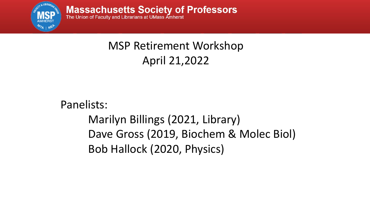

**Massachusetts Society of Professors**<br>The Union of Faculty and Librarians at UMass Amherst

### MSP Retirement Workshop April 21,2022

Panelists:

Marilyn Billings (2021, Library) Dave Gross (2019, Biochem & Molec Biol) Bob Hallock (2020, Physics)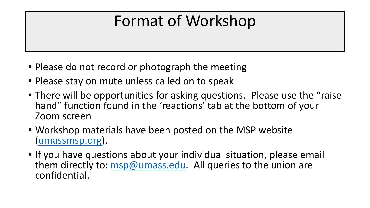# Format of Workshop

- Please do not record or photograph the meeting
- Please stay on mute unless called on to speak
- There will be opportunities for asking questions. Please use the "raise" hand" function found in the 'reactions' tab at the bottom of your Zoom screen
- Workshop materials have been posted on the MSP website ([umassmsp.org](http://www.umassmsp.org/)).
- If you have questions about your individual situation, please email them directly to: [msp@umass.edu](mailto:msp@umass.edu). All queries to the union are confidential.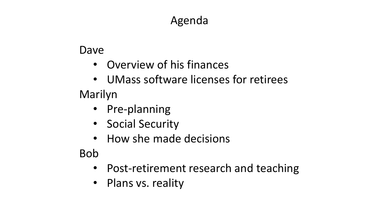### Agenda

#### Dave

- Overview of his finances
- UMass software licenses for retirees Marilyn
	- Pre-planning
	- Social Security
	- How she made decisions

Bob

- Post-retirement research and teaching
- Plans vs. reality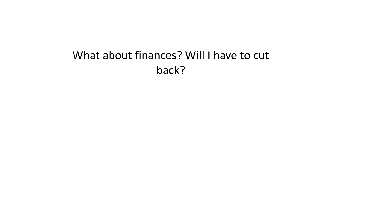## What about finances? Will I have to cut back?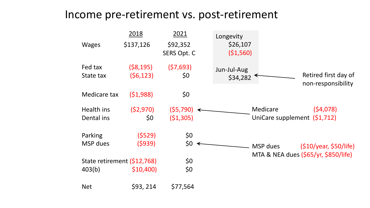#### Income pre-retirement vs. post-retirement

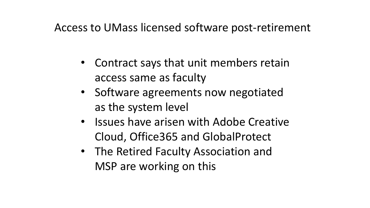#### Access to UMass licensed software post-retirement

- Contract says that unit members retain access same as faculty
- Software agreements now negotiated as the system level
- Issues have arisen with Adobe Creative Cloud, Office365 and GlobalProtect
- The Retired Faculty Association and MSP are working on this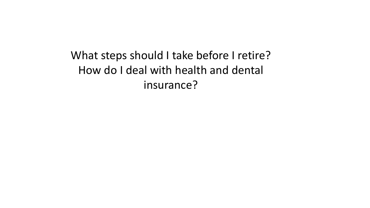What steps should I take before I retire? How do I deal with health and dental insurance?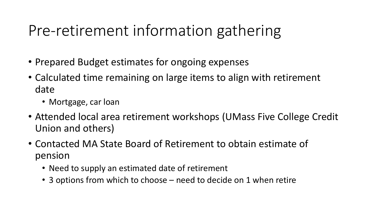# Pre-retirement information gathering

- Prepared Budget estimates for ongoing expenses
- Calculated time remaining on large items to align with retirement date
	- Mortgage, car loan
- Attended local area retirement workshops (UMass Five College Credit Union and others)
- Contacted MA State Board of Retirement to obtain estimate of pension
	- Need to supply an estimated date of retirement
	- 3 options from which to choose need to decide on 1 when retire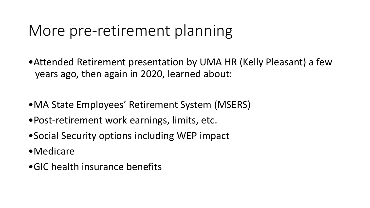## More pre-retirement planning

- •Attended Retirement presentation by UMA HR (Kelly Pleasant) a few years ago, then again in 2020, learned about:
- •MA State Employees' Retirement System (MSERS)
- •Post-retirement work earnings, limits, etc.
- •Social Security options including WEP impact
- •Medicare
- •GIC health insurance benefits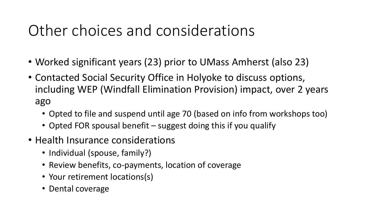# Other choices and considerations

- Worked significant years (23) prior to UMass Amherst (also 23)
- Contacted Social Security Office in Holyoke to discuss options, including WEP (Windfall Elimination Provision) impact, over 2 years ago
	- Opted to file and suspend until age 70 (based on info from workshops too)
	- Opted FOR spousal benefit suggest doing this if you qualify
- Health Insurance considerations
	- Individual (spouse, family?)
	- Review benefits, co-payments, location of coverage
	- Your retirement locations(s)
	- Dental coverage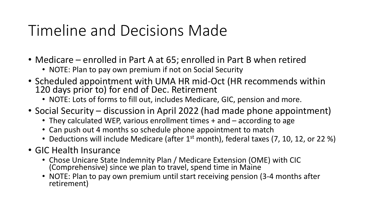# Timeline and Decisions Made

- Medicare enrolled in Part A at 65; enrolled in Part B when retired
	- NOTE: Plan to pay own premium if not on Social Security
- Scheduled appointment with UMA HR mid-Oct (HR recommends within 120 days prior to) for end of Dec. Retirement
	- NOTE: Lots of forms to fill out, includes Medicare, GIC, pension and more.
- Social Security discussion in April 2022 (had made phone appointment)
	- They calculated WEP, various enrollment times + and according to age
	- Can push out 4 months so schedule phone appointment to match
	- Deductions will include Medicare (after 1<sup>st</sup> month), federal taxes (7, 10, 12, or 22 %)
- GIC Health Insurance
	- Chose Unicare State Indemnity Plan / Medicare Extension (OME) with CIC (Comprehensive) since we plan to travel, spend time in Maine
	- NOTE: Plan to pay own premium until start receiving pension (3-4 months after retirement)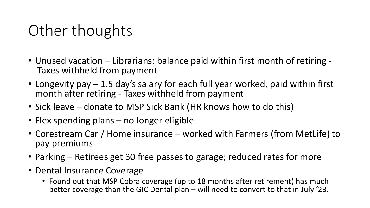# Other thoughts

- Unused vacation Librarians: balance paid within first month of retiring Taxes withheld from payment
- Longevity pay 1.5 day's salary for each full year worked, paid within first month after retiring - Taxes withheld from payment
- Sick leave donate to MSP Sick Bank (HR knows how to do this)
- Flex spending plans no longer eligible
- Corestream Car / Home insurance worked with Farmers (from MetLife) to pay premiums
- Parking Retirees get 30 free passes to garage; reduced rates for more
- Dental Insurance Coverage
	- Found out that MSP Cobra coverage (up to 18 months after retirement) has much better coverage than the GIC Dental plan – will need to convert to that in July '23.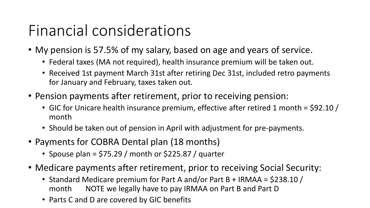# Financial considerations

- My pension is 57.5% of my salary, based on age and years of service.
	- Federal taxes (MA not required), health insurance premium will be taken out.
	- Received 1st payment March 31st after retiring Dec 31st, included retro payments for January and February, taxes taken out.
- Pension payments after retirement, prior to receiving pension:
	- GIC for Unicare health insurance premium, effective after retired 1 month =  $$92.10 /$ month
	- Should be taken out of pension in April with adjustment for pre-payments.
- Payments for COBRA Dental plan (18 months)
	- Spouse plan = \$75.29 / month or \$225.87 / quarter
- Medicare payments after retirement, prior to receiving Social Security:
	- Standard Medicare premium for Part A and/or Part B + IRMAA = \$238.10 / month NOTE we legally have to pay IRMAA on Part B and Part D
	- Parts C and D are covered by GIC benefits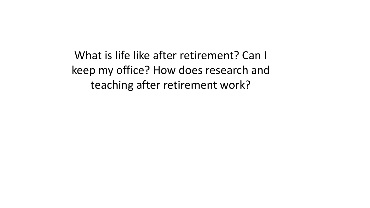What is life like after retirement? Can I keep my office? How does research and teaching after retirement work?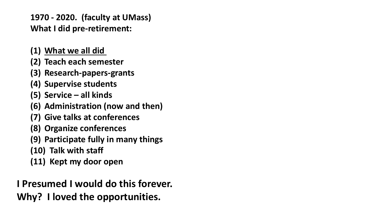**1970 - 2020. (faculty at UMass) What I did pre-retirement:**

- **(1) What we all did**
- **(2) Teach each semester**
- **(3) Research-papers-grants**
- **(4) Supervise students**
- **(5) Service – all kinds**
- **(6) Administration (now and then)**
- **(7) Give talks at conferences**
- **(8) Organize conferences**
- **(9) Participate fully in many things**
- **(10) Talk with staff**
- **(11) Kept my door open**

#### **I Presumed I would do this forever. Why? I loved the opportunities.**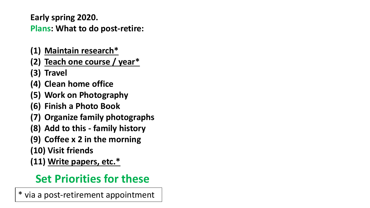**Early spring 2020. Plans: What to do post-retire:**

- **(1) Maintain research\***
- **(2) Teach one course / year\***
- **(3) Travel**
- **(4) Clean home office**
- **(5) Work on Photography**
- **(6) Finish a Photo Book**
- **(7) Organize family photographs**
- **(8) Add to this - family history**
- **(9) Coffee x 2 in the morning (10) Visit friends**
- **(11) Write papers, etc.\***

## **Set Priorities for these**

\* via a post-retirement appointment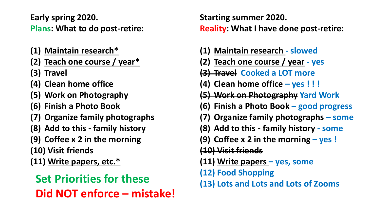**Early spring 2020. Plans: What to do post-retire:**

- **(1) Maintain research\***
- **(2) Teach one course / year\***
- **(3) Travel**
- **(4) Clean home office**
- **(5) Work on Photography**
- **(6) Finish a Photo Book**
- **(7) Organize family photographs**
- **(8) Add to this - family history**
- **(9) Coffee x 2 in the morning (10) Visit friends**
- **(11) Write papers, etc.\***

## **(13) Lots and Lots and Lots of Zooms Set Priorities for these Did NOT enforce – mistake!**

**Starting summer 2020. Reality: What I have done post-retire:**

- **(1) Maintain research - slowed**
- **(2) Teach one course / year - yes**
- **(3) Travel Cooked a LOT more**
- **(4) Clean home office – yes ! ! !**
- **(5) Work on Photography Yard Work**
- **(6) Finish a Photo Book – good progress**
- **(7) Organize family photographs – some**
- **(8) Add to this - family history - some**
- **(9) Coffee x 2 in the morning – yes !**

**(10) Visit friends**

- **(11) Write papers – yes, some**
- **(12) Food Shopping**
-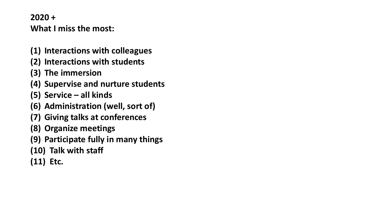#### **2020 + What I miss the most:**

- **(1) Interactions with colleagues**
- **(2) Interactions with students**
- **(3) The immersion**
- **(4) Supervise and nurture students**
- **(5) Service – all kinds**
- **(6) Administration (well, sort of)**
- **(7) Giving talks at conferences**
- **(8) Organize meetings**
- **(9) Participate fully in many things**
- **(10) Talk with staff**
- **(11) Etc.**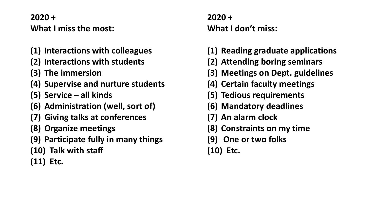#### **2020 + What I miss the most:**

- **(1) Interactions with colleagues**
- **(2) Interactions with students**
- **(3) The immersion**
- **(4) Supervise and nurture students**
- **(5) Service – all kinds**
- **(6) Administration (well, sort of)**
- **(7) Giving talks at conferences**
- **(8) Organize meetings**
- **(9) Participate fully in many things**
- **(10) Talk with staff**
- **(11) Etc.**

#### **2020 + What I don't miss:**

- **(1) Reading graduate applications**
- **(2) Attending boring seminars**
- **(3) Meetings on Dept. guidelines**
- **(4) Certain faculty meetings**
- **(5) Tedious requirements**
- **(6) Mandatory deadlines**
- **(7) An alarm clock**
- **(8) Constraints on my time**
- **(9) One or two folks**
- **(10) Etc.**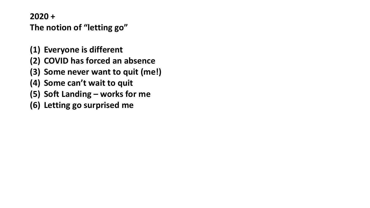**2020 + The notion of "letting go"**

- **(1) Everyone is different**
- **(2) COVID has forced an absence**
- **(3) Some never want to quit (me!)**
- **(4) Some can't wait to quit**
- **(5) Soft Landing – works for me**
- **(6) Letting go surprised me**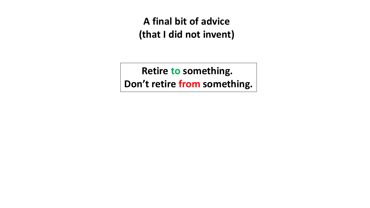**A final bit of advice (that I did not invent)**

**Retire to something. Don't retire from something.**